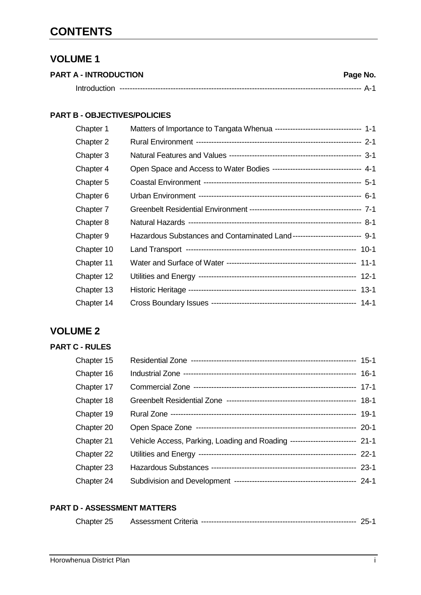# **CONTENTS**

### **VOLUME 1**

| <b>PART A - INTRODUCTION</b> | Page No. |
|------------------------------|----------|
|                              |          |

#### **PART B - OBJECTIVES/POLICIES**

| Chapter 1  | Matters of Importance to Tangata Whenua --------------------------------- 1-1 |
|------------|-------------------------------------------------------------------------------|
| Chapter 2  |                                                                               |
| Chapter 3  |                                                                               |
| Chapter 4  | Open Space and Access to Water Bodies --------------------------------- 4-1   |
| Chapter 5  |                                                                               |
| Chapter 6  |                                                                               |
| Chapter 7  |                                                                               |
| Chapter 8  |                                                                               |
| Chapter 9  | Hazardous Substances and Contaminated Land-------------------------- 9-1      |
| Chapter 10 |                                                                               |
| Chapter 11 |                                                                               |
| Chapter 12 |                                                                               |
| Chapter 13 |                                                                               |
| Chapter 14 |                                                                               |

## **VOLUME 2**

#### **PART C - RULES**

| Chapter 15 |                                                                             |  |
|------------|-----------------------------------------------------------------------------|--|
| Chapter 16 |                                                                             |  |
| Chapter 17 |                                                                             |  |
| Chapter 18 |                                                                             |  |
| Chapter 19 |                                                                             |  |
| Chapter 20 |                                                                             |  |
| Chapter 21 | Vehicle Access, Parking, Loading and Roading ------------------------- 21-1 |  |
| Chapter 22 |                                                                             |  |
| Chapter 23 |                                                                             |  |
| Chapter 24 |                                                                             |  |

#### **PART D - ASSESSMENT MATTERS**

|  | Chapter 25 | Assessment Criteria |  | - הי |  |
|--|------------|---------------------|--|------|--|
|--|------------|---------------------|--|------|--|